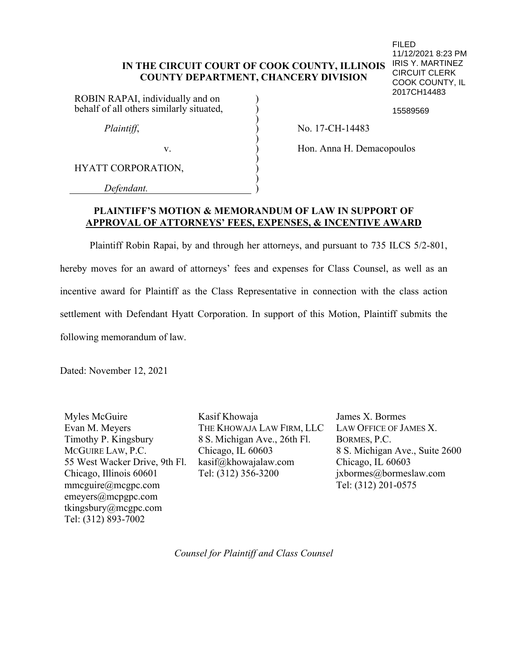# **IN THE CIRCUIT COURT OF COOK COUNTY, ILLINOIS COUNTY DEPARTMENT, CHANCERY DIVISION**

) ) ) ) ) ) ) ) ) )

ROBIN RAPAI, individually and on behalf of all others similarly situated,

*Plaintiff*,

v.

HYATT CORPORATION,

*Defendant.*

FILED 11/12/2021 8:23 PM IRIS Y. MARTINEZ CIRCUIT CLERK COOK COUNTY, IL 2017CH14483

15589569

No. 17-CH-14483

Hon. Anna H. Demacopoulos

**PLAINTIFF'S MOTION & MEMORANDUM OF LAW IN SUPPORT OF APPROVAL OF ATTORNEYS' FEES, EXPENSES, & INCENTIVE AWARD**

Plaintiff Robin Rapai, by and through her attorneys, and pursuant to 735 ILCS 5/2-801, hereby moves for an award of attorneys' fees and expenses for Class Counsel, as well as an incentive award for Plaintiff as the Class Representative in connection with the class action settlement with Defendant Hyatt Corporation. In support of this Motion, Plaintiff submits the following memorandum of law.

Dated: November 12, 2021

Myles McGuire Evan M. Meyers Timothy P. Kingsbury MCGUIRE LAW, P.C. 55 West Wacker Drive, 9th Fl. Chicago, Illinois 60601 mmcguire@mcgpc.com emeyers@mcpgpc.com tkingsbury@mcgpc.com Tel: (312) 893-7002

Kasif Khowaja THE KHOWAJA LAW FIRM, LLC 8 S. Michigan Ave., 26th Fl. Chicago, IL 60603 kasif@khowajalaw.com Tel: (312) 356-3200

James X. Bormes LAW OFFICE OF JAMES X. BORMES, P.C. 8 S. Michigan Ave., Suite 2600 Chicago, IL 60603 jxbormes@bormeslaw.com Tel: (312) 201-0575

*Counsel for Plaintiff and Class Counsel*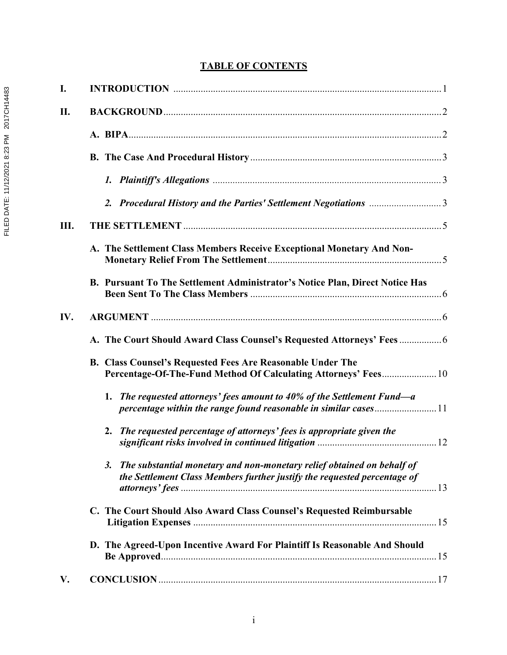# **TABLE OF CONTENTS**

| I.  |                                                                                                                                                       |
|-----|-------------------------------------------------------------------------------------------------------------------------------------------------------|
| П.  |                                                                                                                                                       |
|     |                                                                                                                                                       |
|     |                                                                                                                                                       |
|     |                                                                                                                                                       |
|     | 2. Procedural History and the Parties' Settlement Negotiations 3                                                                                      |
| Ш.  |                                                                                                                                                       |
|     | A. The Settlement Class Members Receive Exceptional Monetary And Non-                                                                                 |
|     | B. Pursuant To The Settlement Administrator's Notice Plan, Direct Notice Has                                                                          |
| IV. |                                                                                                                                                       |
|     |                                                                                                                                                       |
|     | <b>B. Class Counsel's Requested Fees Are Reasonable Under The</b><br>Percentage-Of-The-Fund Method Of Calculating Attorneys' Fees 10                  |
|     | 1. The requested attorneys' fees amount to 40% of the Settlement Fund—a<br>percentage within the range found reasonable in similar cases11            |
|     | 2. The requested percentage of attorneys' fees is appropriate given the                                                                               |
|     | 3. The substantial monetary and non-monetary relief obtained on behalf of<br>the Settlement Class Members further justify the requested percentage of |
|     | C. The Court Should Also Award Class Counsel's Requested Reimbursable                                                                                 |
|     | D. The Agreed-Upon Incentive Award For Plaintiff Is Reasonable And Should                                                                             |
| V.  |                                                                                                                                                       |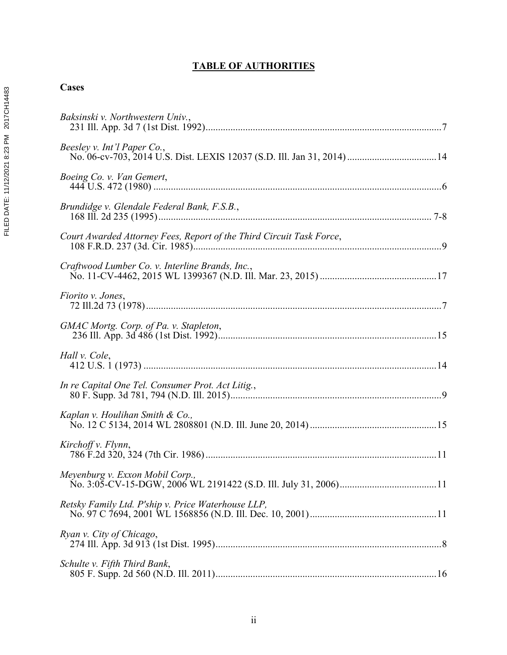# **TABLE OF AUTHORITIES**

# FILED DATE: 11/12/2021 8:23 PM 2017CH14483 FILED DATE: 11/12/2021 8:23 PM 2017CH14483

**Cases** 

*Baksinski v. Northwestern Univ.*,

| Beesley v. Int'l Paper Co.,                                          |  |
|----------------------------------------------------------------------|--|
| Boeing Co. v. Van Gemert,                                            |  |
|                                                                      |  |
| Court Awarded Attorney Fees, Report of the Third Circuit Task Force, |  |
| Craftwood Lumber Co. v. Interline Brands, Inc.,                      |  |
| Fiorito v. Jones,                                                    |  |
| GMAC Mortg. Corp. of Pa. v. Stapleton,                               |  |
| Hall v. Cole,                                                        |  |
|                                                                      |  |
| Kaplan v. Houlihan Smith $\&$ Co.,                                   |  |
| Kirchoff v. Flynn,                                                   |  |
| Meyenburg v. Exxon Mobil Corp.,                                      |  |
| Retsky Family Ltd. P'ship v. Price Waterhouse LLP,                   |  |
| Ryan v. City of Chicago,                                             |  |
| Schulte v. Fifth Third Bank,                                         |  |
|                                                                      |  |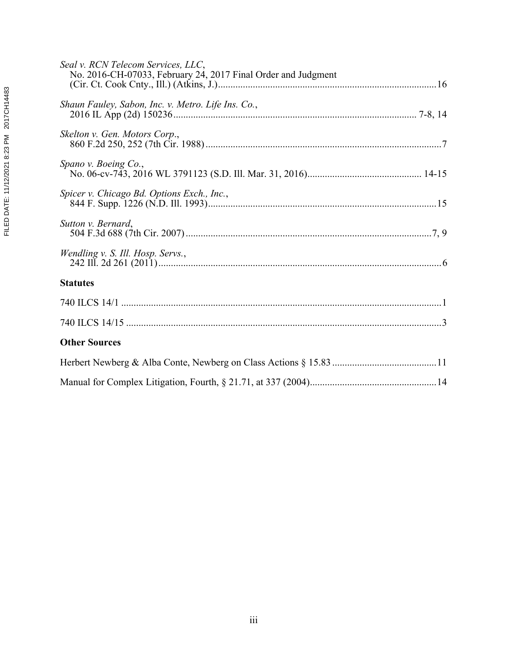|                             | Seal v. RCN Telecom Services, LLC,<br>No. 2016-CH-07033, February 24, 2017 Final Order and Judgment |  |
|-----------------------------|-----------------------------------------------------------------------------------------------------|--|
| 2017CH14483                 | Shaun Fauley, Sabon, Inc. v. Metro. Life Ins. Co.,                                                  |  |
| $\mathbb{R}$                | Skelton v. Gen. Motors Corp.,                                                                       |  |
|                             | Spano v. Boeing Co.,                                                                                |  |
| FILED DATE: 11/12/2021 8:23 | Spicer v. Chicago Bd. Options Exch., Inc.,                                                          |  |
|                             | Sutton v. Bernard,                                                                                  |  |
|                             | Wendling v. S. Ill. Hosp. Servs.,                                                                   |  |

# **Statutes**

| Dialutto             |
|----------------------|
|                      |
|                      |
| <b>Other Sources</b> |
|                      |
|                      |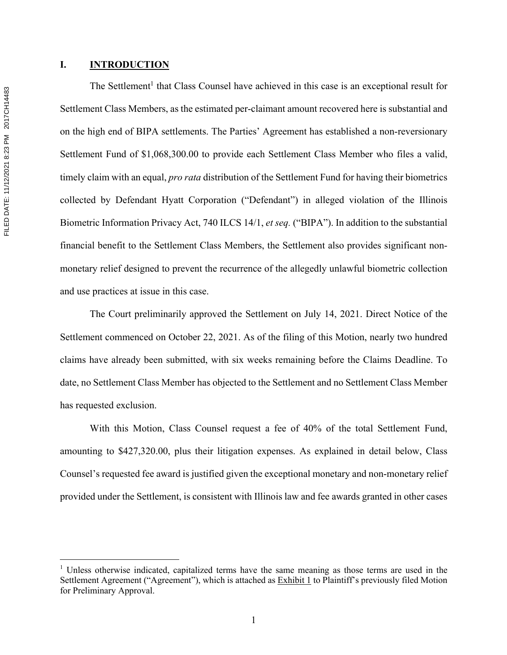#### **I. INTRODUCTION**

The Settlement<sup>1</sup> that Class Counsel have achieved in this case is an exceptional result for Settlement Class Members, as the estimated per-claimant amount recovered here is substantial and on the high end of BIPA settlements. The Parties' Agreement has established a non-reversionary Settlement Fund of \$1,068,300.00 to provide each Settlement Class Member who files a valid, timely claim with an equal, *pro rata* distribution of the Settlement Fund for having their biometrics collected by Defendant Hyatt Corporation ("Defendant") in alleged violation of the Illinois Biometric Information Privacy Act, 740 ILCS 14/1, *et seq.* ("BIPA"). In addition to the substantial financial benefit to the Settlement Class Members, the Settlement also provides significant nonmonetary relief designed to prevent the recurrence of the allegedly unlawful biometric collection and use practices at issue in this case.

The Court preliminarily approved the Settlement on July 14, 2021. Direct Notice of the Settlement commenced on October 22, 2021. As of the filing of this Motion, nearly two hundred claims have already been submitted, with six weeks remaining before the Claims Deadline. To date, no Settlement Class Member has objected to the Settlement and no Settlement Class Member has requested exclusion.

With this Motion, Class Counsel request a fee of 40% of the total Settlement Fund, amounting to \$427,320.00, plus their litigation expenses. As explained in detail below, Class Counsel's requested fee award is justified given the exceptional monetary and non-monetary relief provided under the Settlement, is consistent with Illinois law and fee awards granted in other cases

<sup>&</sup>lt;sup>1</sup> Unless otherwise indicated, capitalized terms have the same meaning as those terms are used in the Settlement Agreement ("Agreement"), which is attached as Exhibit 1 to Plaintiff's previously filed Motion for Preliminary Approval.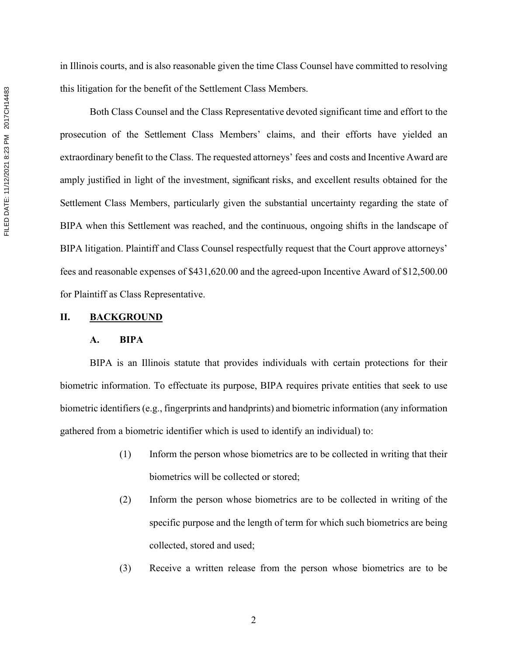in Illinois courts, and is also reasonable given the time Class Counsel have committed to resolving this litigation for the benefit of the Settlement Class Members.

Both Class Counsel and the Class Representative devoted significant time and effort to the prosecution of the Settlement Class Members' claims, and their efforts have yielded an extraordinary benefit to the Class. The requested attorneys' fees and costs and Incentive Award are amply justified in light of the investment, significant risks, and excellent results obtained for the Settlement Class Members, particularly given the substantial uncertainty regarding the state of BIPA when this Settlement was reached, and the continuous, ongoing shifts in the landscape of BIPA litigation. Plaintiff and Class Counsel respectfully request that the Court approve attorneys' fees and reasonable expenses of \$431,620.00 and the agreed-upon Incentive Award of \$12,500.00 for Plaintiff as Class Representative.

### **II. BACKGROUND**

#### **A. BIPA**

BIPA is an Illinois statute that provides individuals with certain protections for their biometric information. To effectuate its purpose, BIPA requires private entities that seek to use biometric identifiers (e.g., fingerprints and handprints) and biometric information (any information gathered from a biometric identifier which is used to identify an individual) to:

- (1) Inform the person whose biometrics are to be collected in writing that their biometrics will be collected or stored;
- (2) Inform the person whose biometrics are to be collected in writing of the specific purpose and the length of term for which such biometrics are being collected, stored and used;
- (3) Receive a written release from the person whose biometrics are to be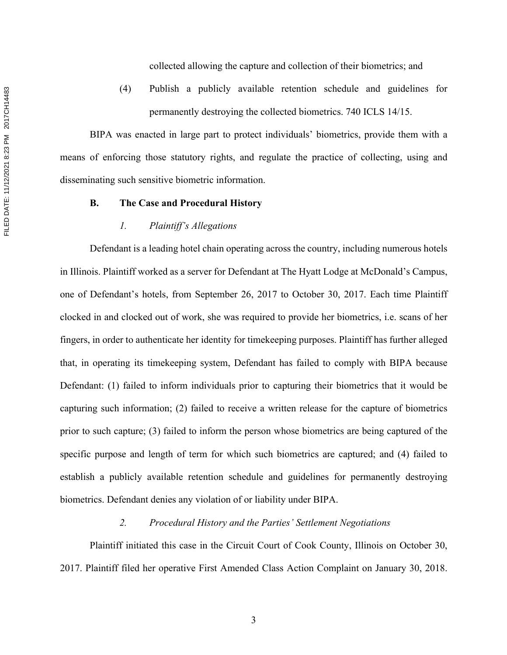collected allowing the capture and collection of their biometrics; and

(4) Publish a publicly available retention schedule and guidelines for permanently destroying the collected biometrics. 740 ICLS 14/15.

BIPA was enacted in large part to protect individuals' biometrics, provide them with a means of enforcing those statutory rights, and regulate the practice of collecting, using and disseminating such sensitive biometric information.

#### **B. The Case and Procedural History**

#### *1. Plaintiff's Allegations*

Defendant is a leading hotel chain operating across the country, including numerous hotels in Illinois. Plaintiff worked as a server for Defendant at The Hyatt Lodge at McDonald's Campus, one of Defendant's hotels, from September 26, 2017 to October 30, 2017. Each time Plaintiff clocked in and clocked out of work, she was required to provide her biometrics, i.e. scans of her fingers, in order to authenticate her identity for timekeeping purposes. Plaintiff has further alleged that, in operating its timekeeping system, Defendant has failed to comply with BIPA because Defendant: (1) failed to inform individuals prior to capturing their biometrics that it would be capturing such information; (2) failed to receive a written release for the capture of biometrics prior to such capture; (3) failed to inform the person whose biometrics are being captured of the specific purpose and length of term for which such biometrics are captured; and (4) failed to establish a publicly available retention schedule and guidelines for permanently destroying biometrics. Defendant denies any violation of or liability under BIPA.

#### *2. Procedural History and the Parties' Settlement Negotiations*

Plaintiff initiated this case in the Circuit Court of Cook County, Illinois on October 30, 2017. Plaintiff filed her operative First Amended Class Action Complaint on January 30, 2018.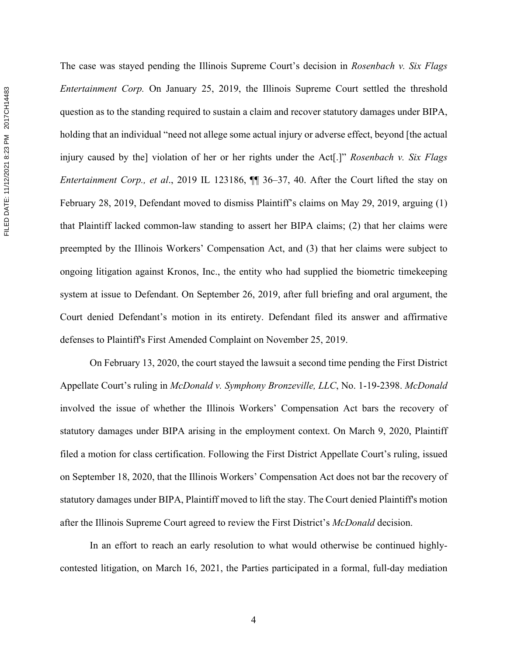The case was stayed pending the Illinois Supreme Court's decision in *Rosenbach v. Six Flags Entertainment Corp.* On January 25, 2019, the Illinois Supreme Court settled the threshold question as to the standing required to sustain a claim and recover statutory damages under BIPA, holding that an individual "need not allege some actual injury or adverse effect, beyond [the actual injury caused by the] violation of her or her rights under the Act[.]" *Rosenbach v. Six Flags Entertainment Corp., et al*., 2019 IL 123186, ¶¶ 36–37, 40. After the Court lifted the stay on February 28, 2019, Defendant moved to dismiss Plaintiff's claims on May 29, 2019, arguing (1) that Plaintiff lacked common-law standing to assert her BIPA claims; (2) that her claims were preempted by the Illinois Workers' Compensation Act, and (3) that her claims were subject to ongoing litigation against Kronos, Inc., the entity who had supplied the biometric timekeeping system at issue to Defendant. On September 26, 2019, after full briefing and oral argument, the Court denied Defendant's motion in its entirety. Defendant filed its answer and affirmative defenses to Plaintiff's First Amended Complaint on November 25, 2019.

On February 13, 2020, the court stayed the lawsuit a second time pending the First District Appellate Court's ruling in *McDonald v. Symphony Bronzeville, LLC*, No. 1-19-2398. *McDonald* involved the issue of whether the Illinois Workers' Compensation Act bars the recovery of statutory damages under BIPA arising in the employment context. On March 9, 2020, Plaintiff filed a motion for class certification. Following the First District Appellate Court's ruling, issued on September 18, 2020, that the Illinois Workers' Compensation Act does not bar the recovery of statutory damages under BIPA, Plaintiff moved to lift the stay. The Court denied Plaintiff's motion after the Illinois Supreme Court agreed to review the First District's *McDonald* decision.

In an effort to reach an early resolution to what would otherwise be continued highlycontested litigation, on March 16, 2021, the Parties participated in a formal, full-day mediation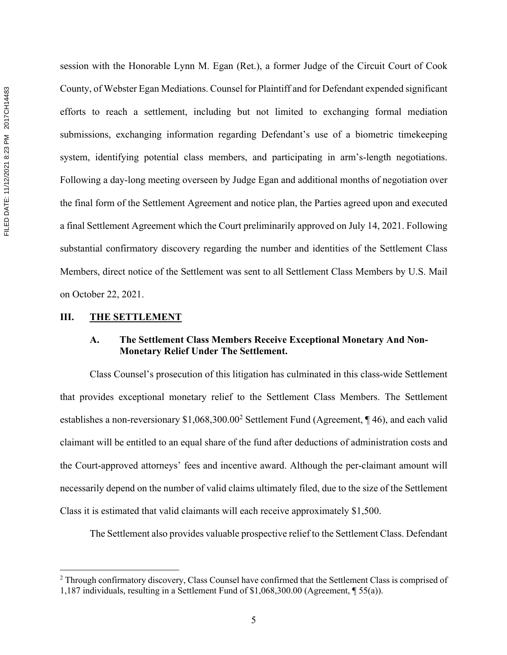session with the Honorable Lynn M. Egan (Ret.), a former Judge of the Circuit Court of Cook County, of Webster Egan Mediations. Counsel for Plaintiff and for Defendant expended significant efforts to reach a settlement, including but not limited to exchanging formal mediation submissions, exchanging information regarding Defendant's use of a biometric timekeeping system, identifying potential class members, and participating in arm's-length negotiations. Following a day-long meeting overseen by Judge Egan and additional months of negotiation over the final form of the Settlement Agreement and notice plan, the Parties agreed upon and executed a final Settlement Agreement which the Court preliminarily approved on July 14, 2021. Following substantial confirmatory discovery regarding the number and identities of the Settlement Class Members, direct notice of the Settlement was sent to all Settlement Class Members by U.S. Mail on October 22, 2021.

#### **III. THE SETTLEMENT**

# **A. The Settlement Class Members Receive Exceptional Monetary And Non-Monetary Relief Under The Settlement.**

Class Counsel's prosecution of this litigation has culminated in this class-wide Settlement that provides exceptional monetary relief to the Settlement Class Members. The Settlement establishes a non-reversionary \$1,068,300.00<sup>2</sup> Settlement Fund (Agreement, ¶ 46), and each valid claimant will be entitled to an equal share of the fund after deductions of administration costs and the Court-approved attorneys' fees and incentive award. Although the per-claimant amount will necessarily depend on the number of valid claims ultimately filed, due to the size of the Settlement Class it is estimated that valid claimants will each receive approximately \$1,500.

The Settlement also provides valuable prospective relief to the Settlement Class. Defendant

 $2$  Through confirmatory discovery, Class Counsel have confirmed that the Settlement Class is comprised of 1,187 individuals, resulting in a Settlement Fund of \$1,068,300.00 (Agreement, ¶ 55(a)).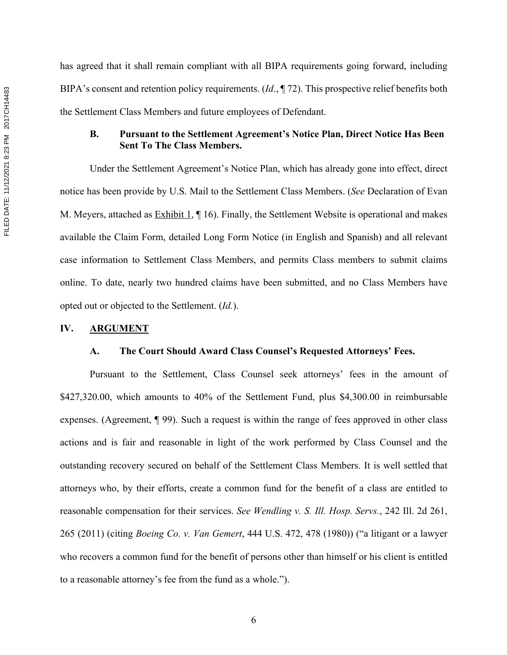has agreed that it shall remain compliant with all BIPA requirements going forward, including BIPA's consent and retention policy requirements. (*Id*., ¶ 72). This prospective relief benefits both the Settlement Class Members and future employees of Defendant.

## **B. Pursuant to the Settlement Agreement's Notice Plan, Direct Notice Has Been Sent To The Class Members.**

Under the Settlement Agreement's Notice Plan, which has already gone into effect, direct notice has been provide by U.S. Mail to the Settlement Class Members. (*See* Declaration of Evan M. Meyers, attached as Exhibit 1, ¶ 16). Finally, the Settlement Website is operational and makes available the Claim Form, detailed Long Form Notice (in English and Spanish) and all relevant case information to Settlement Class Members, and permits Class members to submit claims online. To date, nearly two hundred claims have been submitted, and no Class Members have opted out or objected to the Settlement. (*Id.*).

#### **IV. ARGUMENT**

#### **A. The Court Should Award Class Counsel's Requested Attorneys' Fees.**

Pursuant to the Settlement, Class Counsel seek attorneys' fees in the amount of \$427,320.00, which amounts to 40% of the Settlement Fund, plus \$4,300.00 in reimbursable expenses. (Agreement, ¶ 99). Such a request is within the range of fees approved in other class actions and is fair and reasonable in light of the work performed by Class Counsel and the outstanding recovery secured on behalf of the Settlement Class Members. It is well settled that attorneys who, by their efforts, create a common fund for the benefit of a class are entitled to reasonable compensation for their services. *See Wendling v. S. Ill. Hosp. Servs.*, 242 Ill. 2d 261, 265 (2011) (citing *Boeing Co. v. Van Gemert*, 444 U.S. 472, 478 (1980)) ("a litigant or a lawyer who recovers a common fund for the benefit of persons other than himself or his client is entitled to a reasonable attorney's fee from the fund as a whole.").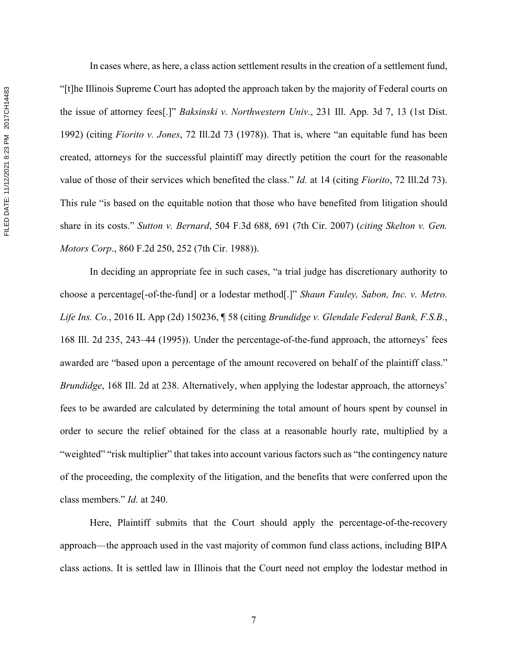In cases where, as here, a class action settlement results in the creation of a settlement fund, "[t]he Illinois Supreme Court has adopted the approach taken by the majority of Federal courts on the issue of attorney fees[.]" *Baksinski v. Northwestern Univ.*, 231 Ill. App. 3d 7, 13 (1st Dist. 1992) (citing *Fiorito v. Jones*, 72 Ill.2d 73 (1978)). That is, where "an equitable fund has been created, attorneys for the successful plaintiff may directly petition the court for the reasonable value of those of their services which benefited the class." *Id.* at 14 (citing *Fiorito*, 72 Ill.2d 73). This rule "is based on the equitable notion that those who have benefited from litigation should share in its costs." *Sutton v. Bernard*, 504 F.3d 688, 691 (7th Cir. 2007) (*citing Skelton v. Gen. Motors Corp*., 860 F.2d 250, 252 (7th Cir. 1988)).

In deciding an appropriate fee in such cases, "a trial judge has discretionary authority to choose a percentage[-of-the-fund] or a lodestar method[.]" *Shaun Fauley, Sabon, Inc. v. Metro. Life Ins. Co.*, 2016 IL App (2d) 150236, ¶ 58 (citing *Brundidge v. Glendale Federal Bank, F.S.B.*, 168 Ill. 2d 235, 243–44 (1995)). Under the percentage-of-the-fund approach, the attorneys' fees awarded are "based upon a percentage of the amount recovered on behalf of the plaintiff class." *Brundidge*, 168 Ill. 2d at 238. Alternatively, when applying the lodestar approach, the attorneys' fees to be awarded are calculated by determining the total amount of hours spent by counsel in order to secure the relief obtained for the class at a reasonable hourly rate, multiplied by a "weighted" "risk multiplier" that takes into account various factors such as "the contingency nature of the proceeding, the complexity of the litigation, and the benefits that were conferred upon the class members." *Id.* at 240.

Here, Plaintiff submits that the Court should apply the percentage-of-the-recovery approach—the approach used in the vast majority of common fund class actions, including BIPA class actions. It is settled law in Illinois that the Court need not employ the lodestar method in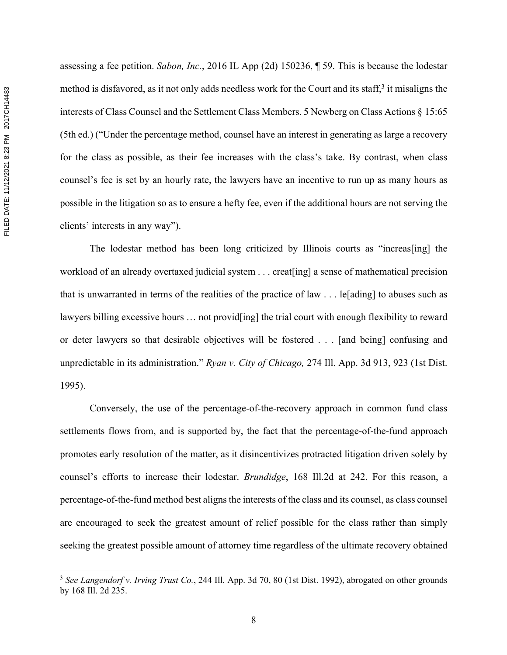assessing a fee petition. *Sabon, Inc.*, 2016 IL App (2d) 150236, ¶ 59. This is because the lodestar method is disfavored, as it not only adds needless work for the Court and its staff, $3$  it misaligns the interests of Class Counsel and the Settlement Class Members. 5 Newberg on Class Actions § 15:65 (5th ed.) ("Under the percentage method, counsel have an interest in generating as large a recovery for the class as possible, as their fee increases with the class's take. By contrast, when class counsel's fee is set by an hourly rate, the lawyers have an incentive to run up as many hours as possible in the litigation so as to ensure a hefty fee, even if the additional hours are not serving the clients' interests in any way").

The lodestar method has been long criticized by Illinois courts as "increas[ing] the workload of an already overtaxed judicial system . . . creat[ing] a sense of mathematical precision that is unwarranted in terms of the realities of the practice of law  $\dots$  lefading to abuses such as lawyers billing excessive hours ... not provid[ing] the trial court with enough flexibility to reward or deter lawyers so that desirable objectives will be fostered . . . [and being] confusing and unpredictable in its administration." *Ryan v. City of Chicago,* 274 Ill. App. 3d 913, 923 (1st Dist. 1995).

Conversely, the use of the percentage-of-the-recovery approach in common fund class settlements flows from, and is supported by, the fact that the percentage-of-the-fund approach promotes early resolution of the matter, as it disincentivizes protracted litigation driven solely by counsel's efforts to increase their lodestar. *Brundidge*, 168 Ill.2d at 242. For this reason, a percentage-of-the-fund method best aligns the interests of the class and its counsel, as class counsel are encouraged to seek the greatest amount of relief possible for the class rather than simply seeking the greatest possible amount of attorney time regardless of the ultimate recovery obtained

<sup>&</sup>lt;sup>3</sup> See Langendorf v. Irving Trust Co., 244 Ill. App. 3d 70, 80 (1st Dist. 1992), abrogated on other grounds by 168 Ill. 2d 235.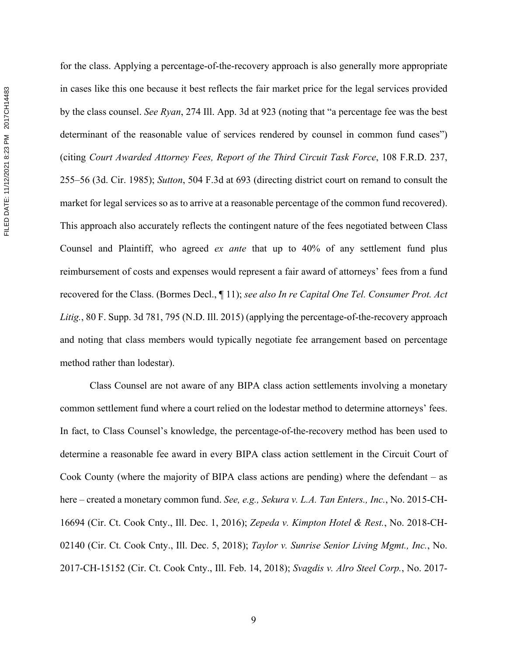for the class. Applying a percentage-of-the-recovery approach is also generally more appropriate in cases like this one because it best reflects the fair market price for the legal services provided by the class counsel. *See Ryan*, 274 Ill. App. 3d at 923 (noting that "a percentage fee was the best determinant of the reasonable value of services rendered by counsel in common fund cases") (citing *Court Awarded Attorney Fees, Report of the Third Circuit Task Force*, 108 F.R.D. 237, 255–56 (3d. Cir. 1985); *Sutton*, 504 F.3d at 693 (directing district court on remand to consult the market for legal services so as to arrive at a reasonable percentage of the common fund recovered). This approach also accurately reflects the contingent nature of the fees negotiated between Class Counsel and Plaintiff, who agreed *ex ante* that up to 40% of any settlement fund plus reimbursement of costs and expenses would represent a fair award of attorneys' fees from a fund recovered for the Class. (Bormes Decl., ¶ 11); *see also In re Capital One Tel. Consumer Prot. Act Litig.*, 80 F. Supp. 3d 781, 795 (N.D. Ill. 2015) (applying the percentage-of-the-recovery approach and noting that class members would typically negotiate fee arrangement based on percentage method rather than lodestar).

Class Counsel are not aware of any BIPA class action settlements involving a monetary common settlement fund where a court relied on the lodestar method to determine attorneys' fees. In fact, to Class Counsel's knowledge, the percentage-of-the-recovery method has been used to determine a reasonable fee award in every BIPA class action settlement in the Circuit Court of Cook County (where the majority of BIPA class actions are pending) where the defendant – as here – created a monetary common fund. *See, e.g., Sekura v. L.A. Tan Enters., Inc.*, No. 2015-CH-16694 (Cir. Ct. Cook Cnty., Ill. Dec. 1, 2016); *Zepeda v. Kimpton Hotel & Rest.*, No. 2018-CH-02140 (Cir. Ct. Cook Cnty., Ill. Dec. 5, 2018); *Taylor v. Sunrise Senior Living Mgmt., Inc.*, No. 2017-CH-15152 (Cir. Ct. Cook Cnty., Ill. Feb. 14, 2018); *Svagdis v. Alro Steel Corp.*, No. 2017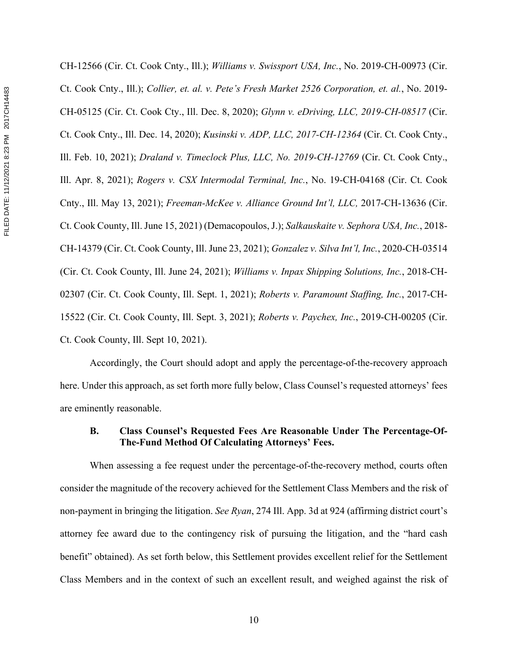CH-12566 (Cir. Ct. Cook Cnty., Ill.); *Williams v. Swissport USA, Inc.*, No. 2019-CH-00973 (Cir. Ct. Cook Cnty., Ill.); *Collier, et. al. v. Pete's Fresh Market 2526 Corporation, et. al.*, No. 2019- CH-05125 (Cir. Ct. Cook Cty., Ill. Dec. 8, 2020); *Glynn v. eDriving, LLC, 2019-CH-08517* (Cir. Ct. Cook Cnty., Ill. Dec. 14, 2020); *Kusinski v. ADP, LLC, 2017-CH-12364* (Cir. Ct. Cook Cnty., Ill. Feb. 10, 2021); *Draland v. Timeclock Plus, LLC, No. 2019-CH-12769* (Cir. Ct. Cook Cnty., Ill. Apr. 8, 2021); *Rogers v. CSX Intermodal Terminal, Inc.*, No. 19-CH-04168 (Cir. Ct. Cook Cnty., Ill. May 13, 2021); *Freeman-McKee v. Alliance Ground Int'l, LLC,* 2017-CH-13636 (Cir. Ct. Cook County, Ill. June 15, 2021) (Demacopoulos, J.); *Salkauskaite v. Sephora USA, Inc.*, 2018- CH-14379 (Cir. Ct. Cook County, Ill. June 23, 2021); *Gonzalez v. Silva Int'l, Inc.*, 2020-CH-03514 (Cir. Ct. Cook County, Ill. June 24, 2021); *Williams v. Inpax Shipping Solutions, Inc.*, 2018-CH-02307 (Cir. Ct. Cook County, Ill. Sept. 1, 2021); *Roberts v. Paramount Staffing, Inc.*, 2017-CH-15522 (Cir. Ct. Cook County, Ill. Sept. 3, 2021); *Roberts v. Paychex, Inc.*, 2019-CH-00205 (Cir. Ct. Cook County, Ill. Sept 10, 2021).

Accordingly, the Court should adopt and apply the percentage-of-the-recovery approach here. Under this approach, as set forth more fully below, Class Counsel's requested attorneys' fees are eminently reasonable.

## **B. Class Counsel's Requested Fees Are Reasonable Under The Percentage-Of-The-Fund Method Of Calculating Attorneys' Fees.**

When assessing a fee request under the percentage-of-the-recovery method, courts often consider the magnitude of the recovery achieved for the Settlement Class Members and the risk of non-payment in bringing the litigation. *See Ryan*, 274 Ill. App. 3d at 924 (affirming district court's attorney fee award due to the contingency risk of pursuing the litigation, and the "hard cash benefit" obtained). As set forth below, this Settlement provides excellent relief for the Settlement Class Members and in the context of such an excellent result, and weighed against the risk of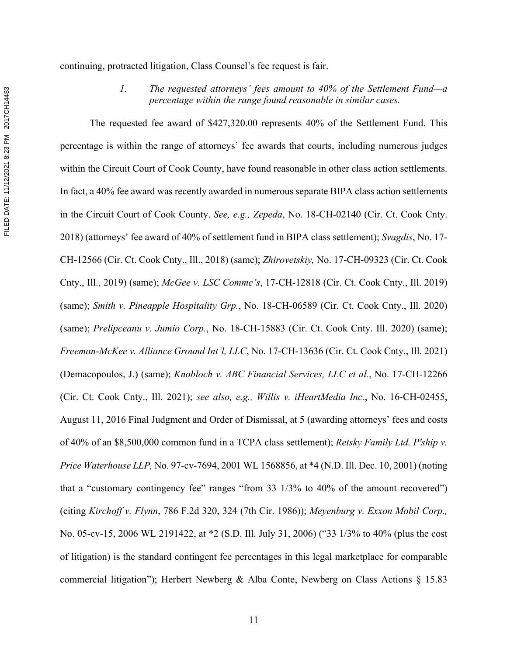continuing, protracted litigation, Class Counsel's fee request is fair.

*1. The requested attorneys' fees amount to 40% of the Settlement Fund—a percentage within the range found reasonable in similar cases.* 

The requested fee award of \$427,320.00 represents 40% of the Settlement Fund. This percentage is within the range of attorneys' fee awards that courts, including numerous judges within the Circuit Court of Cook County, have found reasonable in other class action settlements. In fact, a 40% fee award was recently awarded in numerous separate BIPA class action settlements in the Circuit Court of Cook County. *See, e.g., Zepeda*, No. 18-CH-02140 (Cir. Ct. Cook Cnty. 2018) (attorneys' fee award of 40% of settlement fund in BIPA class settlement); *Svagdis*, No. 17- CH-12566 (Cir. Ct. Cook Cnty., Ill., 2018) (same); *Zhirovetskiy,* No. 17-CH-09323 (Cir. Ct. Cook Cnty., Ill., 2019) (same); *McGee v. LSC Commc's*, 17-CH-12818 (Cir. Ct. Cook Cnty., Ill. 2019) (same); *Smith v. Pineapple Hospitality Grp.*, No. 18-CH-06589 (Cir. Ct. Cook Cnty., Ill. 2020) (same); *Prelipceanu v. Jumio Corp.*, No. 18-CH-15883 (Cir. Ct. Cook Cnty. Ill. 2020) (same); *Freeman-McKee v. Alliance Ground Int'l, LLC*, No. 17-CH-13636 (Cir. Ct. Cook Cnty., Ill. 2021) (Demacopoulos, J.) (same); *Knobloch v. ABC Financial Services, LLC et al.*, No. 17-CH-12266 (Cir. Ct. Cook Cnty., Ill. 2021); *see also, e.g., Willis v. iHeartMedia Inc.*, No. 16-CH-02455, August 11, 2016 Final Judgment and Order of Dismissal, at 5 (awarding attorneys' fees and costs of 40% of an \$8,500,000 common fund in a TCPA class settlement); *Retsky Family Ltd. P'ship v. Price Waterhouse LLP,* No. 97-cv-7694, 2001 WL 1568856, at \*4 (N.D. Ill. Dec. 10, 2001) (noting that a "customary contingency fee" ranges "from 33 1/3% to 40% of the amount recovered") (citing *Kirchoff v. Flynn*, 786 F.2d 320, 324 (7th Cir. 1986)); *Meyenburg v. Exxon Mobil Corp.,*  No. 05-cv-15, 2006 WL 2191422, at \*2 (S.D. Ill. July 31, 2006) ("33 1/3% to 40% (plus the cost of litigation) is the standard contingent fee percentages in this legal marketplace for comparable commercial litigation"); Herbert Newberg & Alba Conte, Newberg on Class Actions  $\S$  15.83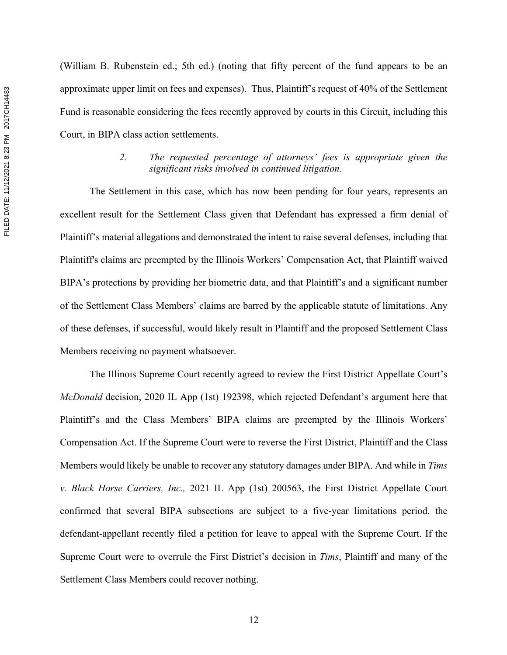(William B. Rubenstein ed.; 5th ed.) (noting that fifty percent of the fund appears to be an approximate upper limit on fees and expenses). Thus, Plaintiff's request of 40% of the Settlement Fund is reasonable considering the fees recently approved by courts in this Circuit, including this Court, in BIPA class action settlements.

# *2. The requested percentage of attorneys' fees is appropriate given the significant risks involved in continued litigation.*

The Settlement in this case, which has now been pending for four years, represents an excellent result for the Settlement Class given that Defendant has expressed a firm denial of Plaintiff's material allegations and demonstrated the intent to raise several defenses, including that Plaintiff's claims are preempted by the Illinois Workers' Compensation Act, that Plaintiff waived BIPA's protections by providing her biometric data, and that Plaintiff's and a significant number of the Settlement Class Members' claims are barred by the applicable statute of limitations. Any of these defenses, if successful, would likely result in Plaintiff and the proposed Settlement Class Members receiving no payment whatsoever.

The Illinois Supreme Court recently agreed to review the First District Appellate Court's *McDonald* decision, 2020 IL App (1st) 192398, which rejected Defendant's argument here that Plaintiff's and the Class Members' BIPA claims are preempted by the Illinois Workers' Compensation Act. If the Supreme Court were to reverse the First District, Plaintiff and the Class Members would likely be unable to recover any statutory damages under BIPA. And while in *Tims v. Black Horse Carriers, Inc.,* 2021 IL App (1st) 200563, the First District Appellate Court confirmed that several BIPA subsections are subject to a five-year limitations period, the defendant-appellant recently filed a petition for leave to appeal with the Supreme Court. If the Supreme Court were to overrule the First District's decision in *Tims*, Plaintiff and many of the Settlement Class Members could recover nothing.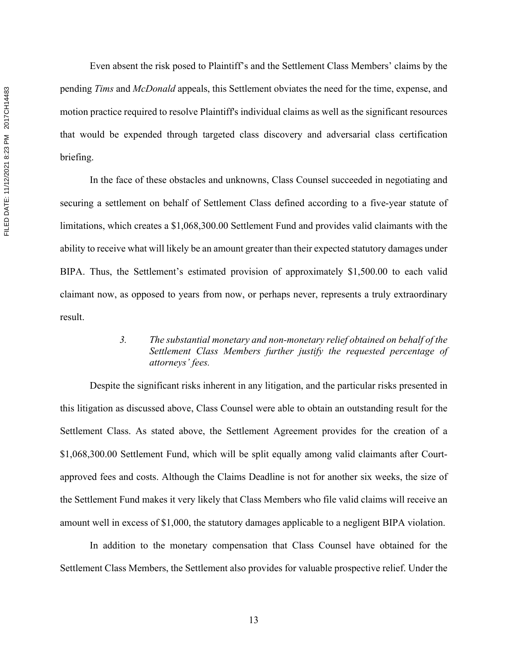Even absent the risk posed to Plaintiff's and the Settlement Class Members' claims by the pending *Tims* and *McDonald* appeals, this Settlement obviates the need for the time, expense, and motion practice required to resolve Plaintiff's individual claims as well as the significant resources that would be expended through targeted class discovery and adversarial class certification briefing.

In the face of these obstacles and unknowns, Class Counsel succeeded in negotiating and securing a settlement on behalf of Settlement Class defined according to a five-year statute of limitations, which creates a \$1,068,300.00 Settlement Fund and provides valid claimants with the ability to receive what will likely be an amount greater than their expected statutory damages under BIPA. Thus, the Settlement's estimated provision of approximately \$1,500.00 to each valid claimant now, as opposed to years from now, or perhaps never, represents a truly extraordinary result.

# *3. The substantial monetary and non-monetary relief obtained on behalf of the Settlement Class Members further justify the requested percentage of attorneys' fees.*

Despite the significant risks inherent in any litigation, and the particular risks presented in this litigation as discussed above, Class Counsel were able to obtain an outstanding result for the Settlement Class. As stated above, the Settlement Agreement provides for the creation of a \$1,068,300.00 Settlement Fund, which will be split equally among valid claimants after Courtapproved fees and costs. Although the Claims Deadline is not for another six weeks, the size of the Settlement Fund makes it very likely that Class Members who file valid claims will receive an amount well in excess of \$1,000, the statutory damages applicable to a negligent BIPA violation.

In addition to the monetary compensation that Class Counsel have obtained for the Settlement Class Members, the Settlement also provides for valuable prospective relief. Under the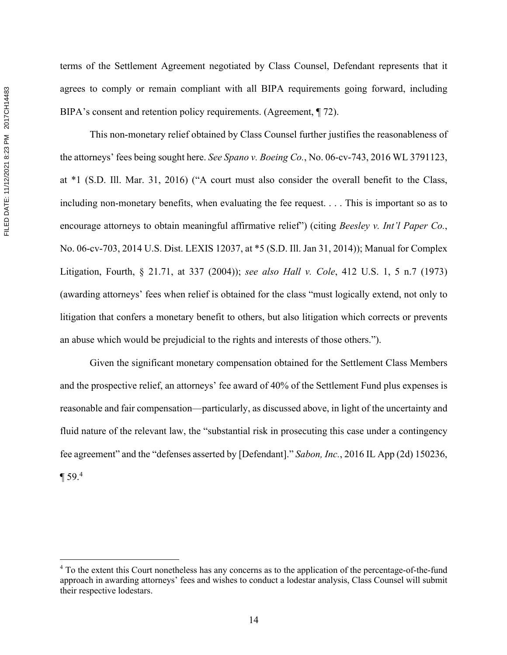terms of the Settlement Agreement negotiated by Class Counsel, Defendant represents that it agrees to comply or remain compliant with all BIPA requirements going forward, including BIPA's consent and retention policy requirements. (Agreement, ¶ 72).

This non-monetary relief obtained by Class Counsel further justifies the reasonableness of the attorneys' fees being sought here. *See Spano v. Boeing Co.*, No. 06-cv-743, 2016 WL 3791123, at \*1 (S.D. Ill. Mar. 31, 2016) ("A court must also consider the overall benefit to the Class, including non-monetary benefits, when evaluating the fee request. . . . This is important so as to encourage attorneys to obtain meaningful affirmative relief") (citing *Beesley v. Int'l Paper Co.*, No. 06-cv-703, 2014 U.S. Dist. LEXIS 12037, at \*5 (S.D. Ill. Jan 31, 2014)); Manual for Complex Litigation, Fourth, § 21.71, at 337 (2004)); *see also Hall v. Cole*, 412 U.S. 1, 5 n.7 (1973) (awarding attorneys' fees when relief is obtained for the class "must logically extend, not only to litigation that confers a monetary benefit to others, but also litigation which corrects or prevents an abuse which would be prejudicial to the rights and interests of those others.").

Given the significant monetary compensation obtained for the Settlement Class Members and the prospective relief, an attorneys' fee award of 40% of the Settlement Fund plus expenses is reasonable and fair compensation—particularly, as discussed above, in light of the uncertainty and fluid nature of the relevant law, the "substantial risk in prosecuting this case under a contingency fee agreement" and the "defenses asserted by [Defendant]." *Sabon, Inc.*, 2016 IL App (2d) 150236, ¶ 59.4

<sup>&</sup>lt;sup>4</sup> To the extent this Court nonetheless has any concerns as to the application of the percentage-of-the-fund approach in awarding attorneys' fees and wishes to conduct a lodestar analysis, Class Counsel will submit their respective lodestars.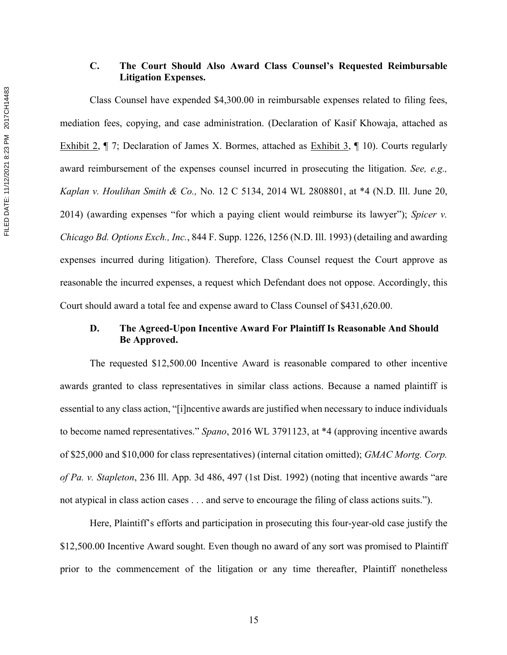# **C. The Court Should Also Award Class Counsel's Requested Reimbursable Litigation Expenses.**

Class Counsel have expended \$4,300.00 in reimbursable expenses related to filing fees, mediation fees, copying, and case administration. (Declaration of Kasif Khowaja, attached as Exhibit 2, ¶ 7; Declaration of James X. Bormes, attached as Exhibit 3, ¶ 10). Courts regularly award reimbursement of the expenses counsel incurred in prosecuting the litigation. *See, e.g., Kaplan v. Houlihan Smith & Co.,* No. 12 C 5134, 2014 WL 2808801, at \*4 (N.D. Ill. June 20, 2014) (awarding expenses "for which a paying client would reimburse its lawyer"); *Spicer v. Chicago Bd. Options Exch., Inc.*, 844 F. Supp. 1226, 1256 (N.D. Ill. 1993) (detailing and awarding expenses incurred during litigation). Therefore, Class Counsel request the Court approve as reasonable the incurred expenses, a request which Defendant does not oppose. Accordingly, this Court should award a total fee and expense award to Class Counsel of \$431,620.00.

# **D. The Agreed-Upon Incentive Award For Plaintiff Is Reasonable And Should Be Approved.**

The requested \$12,500.00 Incentive Award is reasonable compared to other incentive awards granted to class representatives in similar class actions. Because a named plaintiff is essential to any class action, "[i]ncentive awards are justified when necessary to induce individuals to become named representatives." *Spano*, 2016 WL 3791123, at \*4 (approving incentive awards of \$25,000 and \$10,000 for class representatives) (internal citation omitted); *GMAC Mortg. Corp. of Pa. v. Stapleton*, 236 Ill. App. 3d 486, 497 (1st Dist. 1992) (noting that incentive awards "are not atypical in class action cases . . . and serve to encourage the filing of class actions suits.").

Here, Plaintiff's efforts and participation in prosecuting this four-year-old case justify the \$12,500.00 Incentive Award sought. Even though no award of any sort was promised to Plaintiff prior to the commencement of the litigation or any time thereafter, Plaintiff nonetheless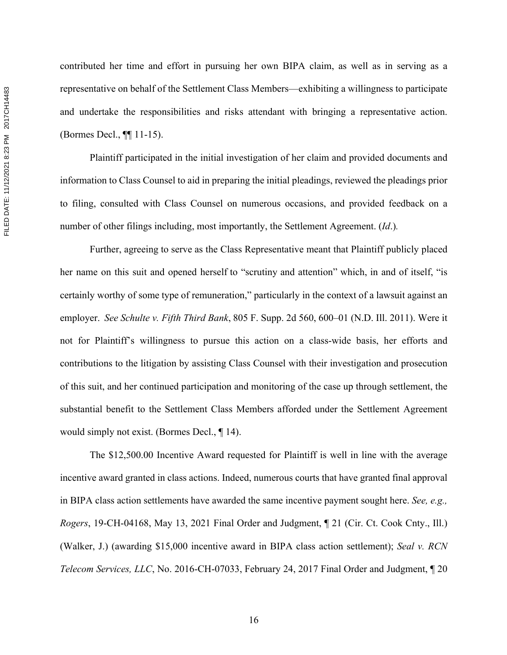contributed her time and effort in pursuing her own BIPA claim, as well as in serving as a representative on behalf of the Settlement Class Members—exhibiting a willingness to participate and undertake the responsibilities and risks attendant with bringing a representative action. (Bormes Decl., ¶¶ 11-15).

Plaintiff participated in the initial investigation of her claim and provided documents and information to Class Counsel to aid in preparing the initial pleadings, reviewed the pleadings prior to filing, consulted with Class Counsel on numerous occasions, and provided feedback on a number of other filings including, most importantly, the Settlement Agreement. (*Id*.)*.*

Further, agreeing to serve as the Class Representative meant that Plaintiff publicly placed her name on this suit and opened herself to "scrutiny and attention" which, in and of itself, "is certainly worthy of some type of remuneration," particularly in the context of a lawsuit against an employer. *See Schulte v. Fifth Third Bank*, 805 F. Supp. 2d 560, 600–01 (N.D. Ill. 2011). Were it not for Plaintiff's willingness to pursue this action on a class-wide basis, her efforts and contributions to the litigation by assisting Class Counsel with their investigation and prosecution of this suit, and her continued participation and monitoring of the case up through settlement, the substantial benefit to the Settlement Class Members afforded under the Settlement Agreement would simply not exist. (Bormes Decl., ¶ 14).

The \$12,500.00 Incentive Award requested for Plaintiff is well in line with the average incentive award granted in class actions. Indeed, numerous courts that have granted final approval in BIPA class action settlements have awarded the same incentive payment sought here. *See, e.g., Rogers*, 19-CH-04168, May 13, 2021 Final Order and Judgment, ¶ 21 (Cir. Ct. Cook Cnty., Ill.) (Walker, J.) (awarding \$15,000 incentive award in BIPA class action settlement); *Seal v. RCN Telecom Services, LLC*, No. 2016-CH-07033, February 24, 2017 Final Order and Judgment, ¶ 20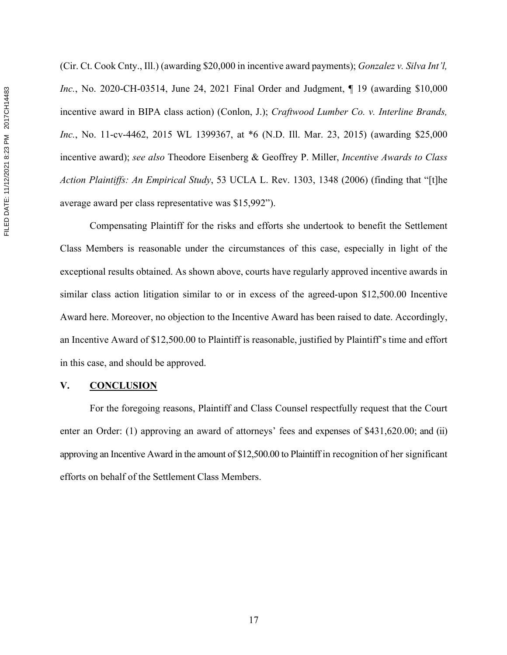(Cir. Ct. Cook Cnty., Ill.) (awarding \$20,000 in incentive award payments); *Gonzalez v. Silva Int'l, Inc.*, No. 2020-CH-03514, June 24, 2021 Final Order and Judgment, ¶ 19 (awarding \$10,000 incentive award in BIPA class action) (Conlon, J.); *Craftwood Lumber Co. v. Interline Brands, Inc.*, No. 11-cv-4462, 2015 WL 1399367, at \*6 (N.D. Ill. Mar. 23, 2015) (awarding \$25,000 incentive award); *see also* Theodore Eisenberg & Geoffrey P. Miller, *Incentive Awards to Class Action Plaintiffs: An Empirical Study*, 53 UCLA L. Rev. 1303, 1348 (2006) (finding that "[t]he average award per class representative was \$15,992").

Compensating Plaintiff for the risks and efforts she undertook to benefit the Settlement Class Members is reasonable under the circumstances of this case, especially in light of the exceptional results obtained. As shown above, courts have regularly approved incentive awards in similar class action litigation similar to or in excess of the agreed-upon \$12,500.00 Incentive Award here. Moreover, no objection to the Incentive Award has been raised to date. Accordingly, an Incentive Award of \$12,500.00 to Plaintiff is reasonable, justified by Plaintiff's time and effort in this case, and should be approved.

### **V. CONCLUSION**

For the foregoing reasons, Plaintiff and Class Counsel respectfully request that the Court enter an Order: (1) approving an award of attorneys' fees and expenses of \$431,620.00; and (ii) approving an Incentive Award in the amount of \$12,500.00 to Plaintiff in recognition of her significant efforts on behalf of the Settlement Class Members.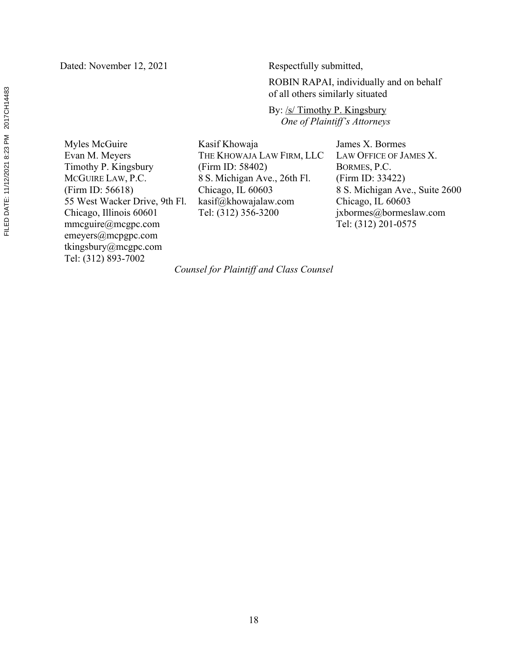Dated: November 12, 2021 Respectfully submitted,

ROBIN RAPAI, individually and on behalf of all others similarly situated

By: /s/ Timothy P. Kingsbury *One of Plaintiff's Attorneys*

Myles McGuire Evan M. Meyers Timothy P. Kingsbury MCGUIRE LAW, P.C. (Firm ID: 56618) 55 West Wacker Drive, 9th Fl. Chicago, Illinois 60601 mmcguire@mcgpc.com emeyers@mcpgpc.com tkingsbury@mcgpc.com Tel: (312) 893-7002

Kasif Khowaja THE KHOWAJA LAW FIRM, LLC (Firm ID: 58402) 8 S. Michigan Ave., 26th Fl. Chicago, IL 60603 kasif@khowajalaw.com Tel: (312) 356-3200

James X. Bormes LAW OFFICE OF JAMES X. BORMES, P.C. (Firm ID: 33422) 8 S. Michigan Ave., Suite 2600 Chicago, IL 60603 jxbormes@bormeslaw.com Tel: (312) 201-0575

*Counsel for Plaintiff and Class Counsel*